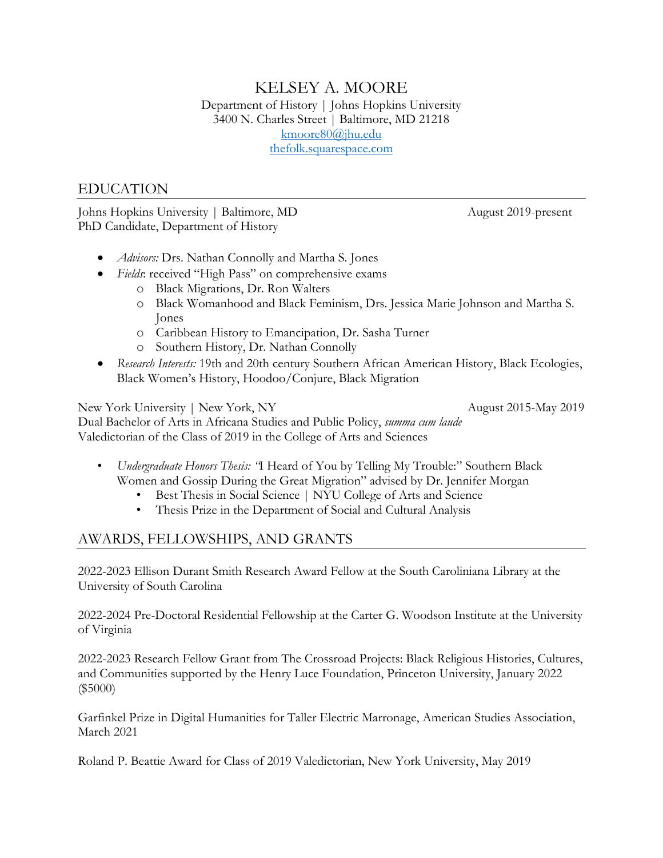# KELSEY A. MOORE Department of History | Johns Hopkins University 3400 N. Charles Street | Baltimore, MD 21218 [kmoore80@jhu.edu](mailto:kmoore80@jhu.edu) [thefolk.squarespace.com](https://thefolk.squarespace.com/)

# EDUCATION

Johns Hopkins University | Baltimore, MD August 2019-present PhD Candidate, Department of History

- *Advisors:* Drs. Nathan Connolly and Martha S. Jones
- *Fields*: received "High Pass" on comprehensive exams
	- o Black Migrations, Dr. Ron Walters
	- o Black Womanhood and Black Feminism, Drs. Jessica Marie Johnson and Martha S. Jones
	- o Caribbean History to Emancipation, Dr. Sasha Turner
	- o Southern History, Dr. Nathan Connolly
- *Research Interests:* 19th and 20th century Southern African American History, Black Ecologies, Black Women's History, Hoodoo/Conjure, Black Migration

New York University | New York, NY August 2015-May 2019 Dual Bachelor of Arts in Africana Studies and Public Policy, *summa cum laude* Valedictorian of the Class of 2019 in the College of Arts and Sciences

- *Undergraduate Honors Thesis: "*I Heard of You by Telling My Trouble:" Southern Black Women and Gossip During the Great Migration" advised by Dr. Jennifer Morgan
	- Best Thesis in Social Science | NYU College of Arts and Science
	- Thesis Prize in the Department of Social and Cultural Analysis

# AWARDS, FELLOWSHIPS, AND GRANTS

2022-2023 Ellison Durant Smith Research Award Fellow at the South Caroliniana Library at the University of South Carolina

2022-2024 Pre-Doctoral Residential Fellowship at the Carter G. Woodson Institute at the University of Virginia

2022-2023 Research Fellow Grant from The Crossroad Projects: Black Religious Histories, Cultures, and Communities supported by the Henry Luce Foundation, Princeton University, January 2022 (\$5000)

Garfinkel Prize in Digital Humanities for Taller Electric Marronage, American Studies Association, March 2021

Roland P. Beattie Award for Class of 2019 Valedictorian, New York University, May 2019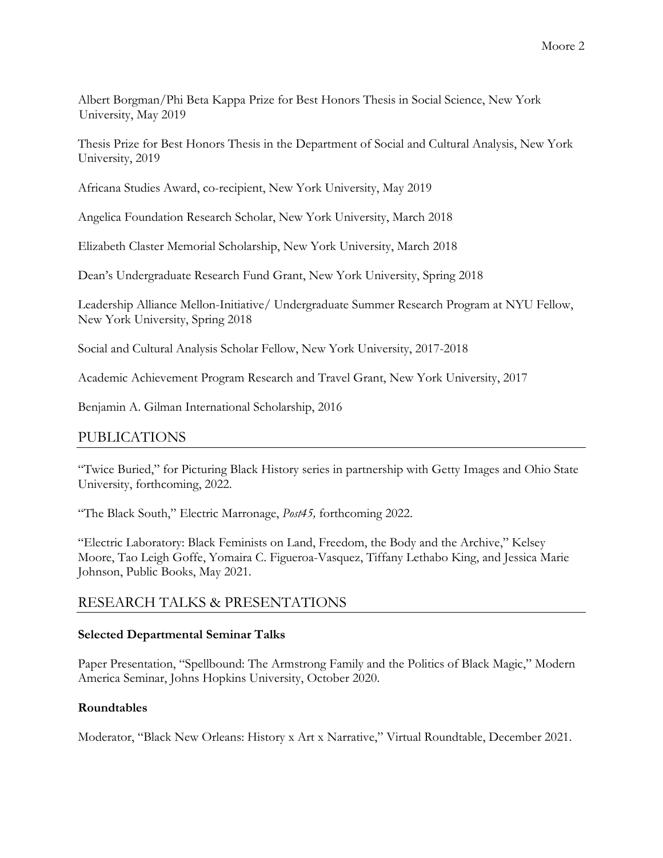Albert Borgman/Phi Beta Kappa Prize for Best Honors Thesis in Social Science, New York University, May 2019

Thesis Prize for Best Honors Thesis in the Department of Social and Cultural Analysis, New York University, 2019

Africana Studies Award, co-recipient, New York University, May 2019

Angelica Foundation Research Scholar, New York University, March 2018

Elizabeth Claster Memorial Scholarship, New York University, March 2018

Dean's Undergraduate Research Fund Grant, New York University, Spring 2018

Leadership Alliance Mellon-Initiative/ Undergraduate Summer Research Program at NYU Fellow, New York University, Spring 2018

Social and Cultural Analysis Scholar Fellow, New York University, 2017-2018

Academic Achievement Program Research and Travel Grant, New York University, 2017

Benjamin A. Gilman International Scholarship, 2016

# PUBLICATIONS

"Twice Buried," for Picturing Black History series in partnership with Getty Images and Ohio State University, forthcoming, 2022.

"The Black South," Electric Marronage, *Post45,* forthcoming 2022.

"Electric Laboratory: Black Feminists on Land, Freedom, the Body and the Archive," Kelsey Moore, Tao Leigh Goffe, Yomaira C. Figueroa-Vasquez, Tiffany Lethabo King, and Jessica Marie Johnson, Public Books, May 2021.

# RESEARCH TALKS & PRESENTATIONS

## **Selected Departmental Seminar Talks**

Paper Presentation, "Spellbound: The Armstrong Family and the Politics of Black Magic," Modern America Seminar, Johns Hopkins University, October 2020.

## **Roundtables**

Moderator, "Black New Orleans: History x Art x Narrative," Virtual Roundtable, December 2021.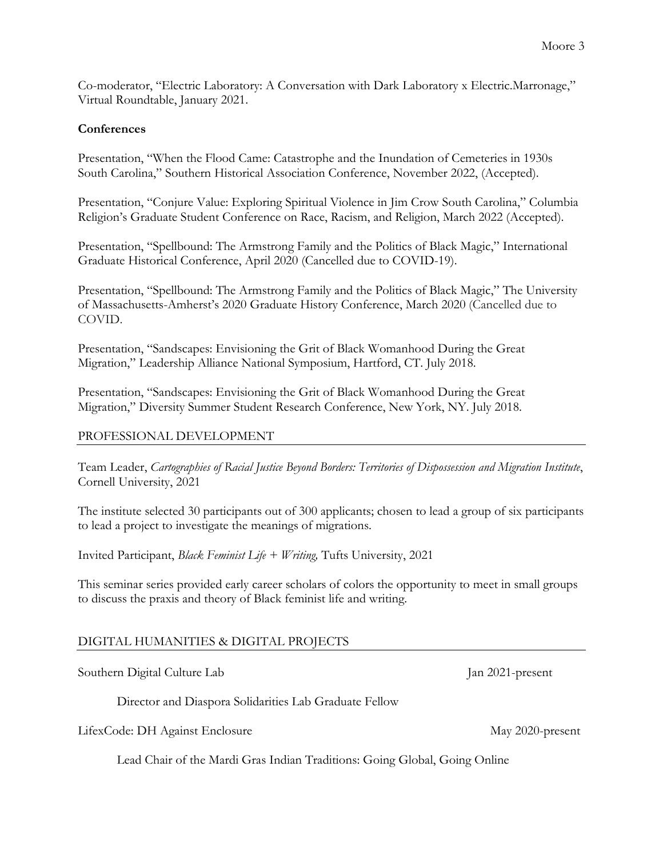Co-moderator, "Electric Laboratory: A Conversation with Dark Laboratory x Electric.Marronage," Virtual Roundtable, January 2021.

## **Conferences**

Presentation, "When the Flood Came: Catastrophe and the Inundation of Cemeteries in 1930s South Carolina," Southern Historical Association Conference, November 2022, (Accepted).

Presentation, "Conjure Value: Exploring Spiritual Violence in Jim Crow South Carolina," Columbia Religion's Graduate Student Conference on Race, Racism, and Religion, March 2022 (Accepted).

Presentation, "Spellbound: The Armstrong Family and the Politics of Black Magic," International Graduate Historical Conference, April 2020 (Cancelled due to COVID-19).

Presentation, "Spellbound: The Armstrong Family and the Politics of Black Magic," The University of Massachusetts-Amherst's 2020 Graduate History Conference, March 2020 (Cancelled due to COVID.

Presentation, "Sandscapes: Envisioning the Grit of Black Womanhood During the Great Migration," Leadership Alliance National Symposium, Hartford, CT. July 2018.

Presentation, "Sandscapes: Envisioning the Grit of Black Womanhood During the Great Migration," Diversity Summer Student Research Conference, New York, NY. July 2018.

## PROFESSIONAL DEVELOPMENT

Team Leader, *Cartographies of Racial Justice Beyond Borders: Territories of Dispossession and Migration Institute*, Cornell University, 2021

The institute selected 30 participants out of 300 applicants; chosen to lead a group of six participants to lead a project to investigate the meanings of migrations.

Invited Participant, *Black Feminist Life + Writing,* Tufts University, 2021

This seminar series provided early career scholars of colors the opportunity to meet in small groups to discuss the praxis and theory of Black feminist life and writing.

# DIGITAL HUMANITIES & DIGITAL PROJECTS

Southern Digital Culture Lab Jan 2021-present

Director and Diaspora Solidarities Lab Graduate Fellow

LifexCode: DH Against Enclosure May 2020-present

Lead Chair of the Mardi Gras Indian Traditions: Going Global, Going Online